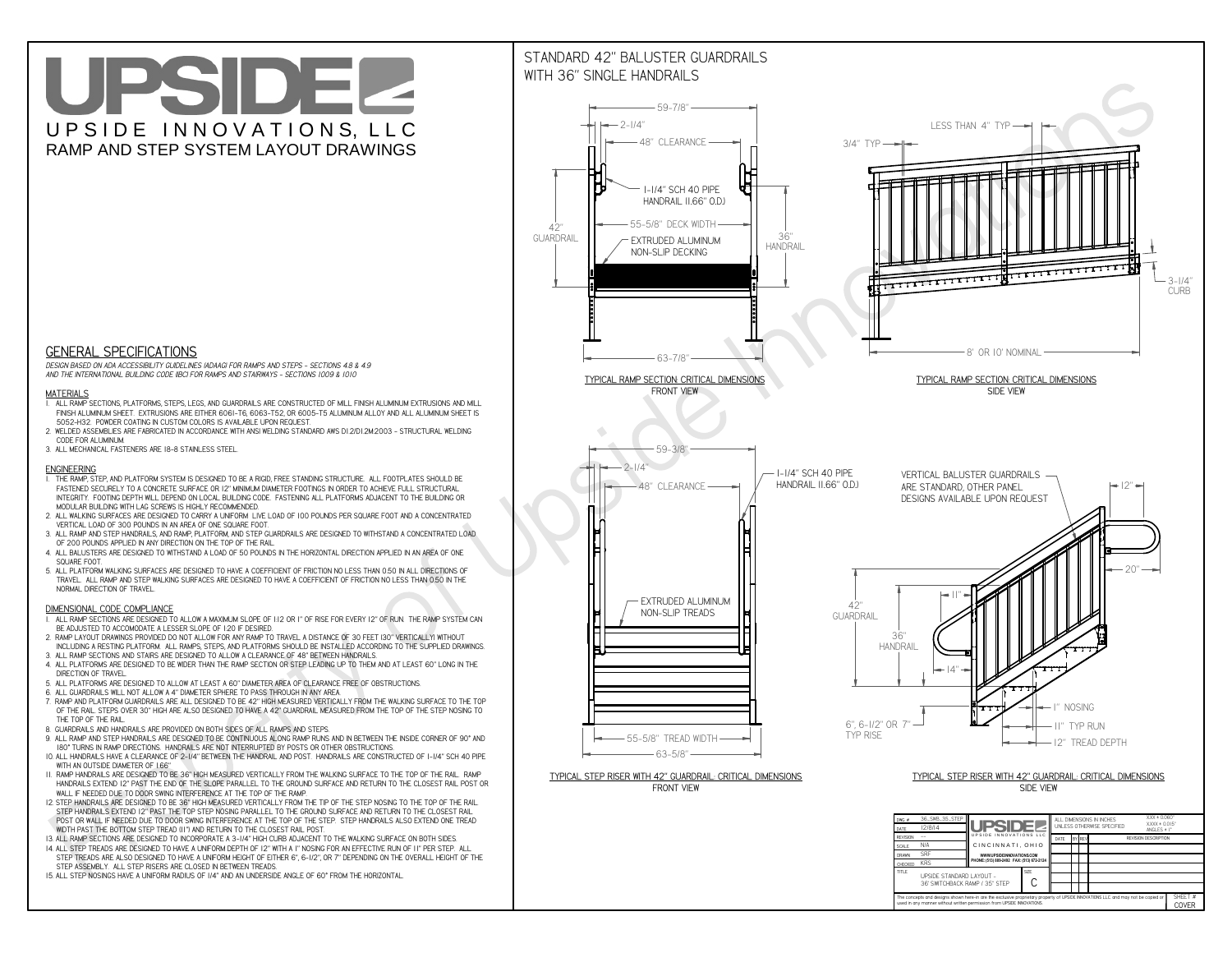**The concepts and designs shown here-in are the exclusive proprietary property of UPSIDE INNOVATIONS LLC. and may not be copied or**

**I** 

**used in any manner without written permission from UPSIDE INNOVATIONS.**

# UPSIDEL UPSIDE INNOVATIONS, LLC RAMP AND STEP SYSTEM LAYOUT DRAWINGS



SHEET #**COVER**

36' SWITCHBACK RAMP / 35" STEP

# WITH 36" SINGLE HANDRAILS

![](_page_0_Figure_2.jpeg)

 *DESIGN BASED ON ADA ACCESSIBILITY GUIDELINES (ADAAG) FOR RAMPS AND STEPS - SECTIONS 4.8 & 4.9AND THE INTERNATIONAL BUILDING CODE (IBC) FOR RAMPS AND STAIRWAYS - SECTIONS 1009 & 1010*

### **MATERIALS**

- **1. ALL RAMP SECTIONS, PLATFORMS, STEPS, LEGS, AND GUARDRAILS ARE CONSTRUCTED OF MILL FINISH ALUMINUM EXTRUSIONS AND MILL FINISH ALUMINUM SHEET. EXTRUSIONS ARE EITHER 6061-T6, 6063-T52, OR 6005-T5 ALUMINUM ALLOY AND ALL ALUMINUM SHEET IS 5052-H32. POWDER COATING IN CUSTOM COLORS IS AVAILABLE UPON REQUEST.**
- **2. WELDED ASSEMBLIES ARE FABRICATED IN ACCORDANCE WITH ANSI WELDING STANDARD AWS D1.2/D1.2M:2003 STRUCTURAL WELDING CODE FOR ALUMINUM.**
- **3. ALL MECHANICAL FASTENERS ARE 18-8 STAINLESS STEEL.**

#### **ENGINEERING**

- **1. THE RAMP, STEP, AND PLATFORM SYSTEM IS DESIGNED TO BE A RIGID, FREE STANDING STRUCTURE. ALL FOOTPLATES SHOULD BE FASTENED SECURELY TO A CONCRETE SURFACE OR 12" MINIMUM DIAMETER FOOTINGS IN ORDER TO ACHIEVE FULL STRUCTURAL INTEGRITY. FOOTING DEPTH WILL DEPEND ON LOCAL BUILDING CODE. FASTENING ALL PLATFORMS ADJACENT TO THE BUILDING OR MODULAR BUILDING WITH LAG SCREWS IS HIGHLY RECOMMENDED.**
- **2. ALL WALKING SURFACES ARE DESIGNED TO CARRY A UNIFORM LIVE LOAD OF 100 POUNDS PER SQUARE FOOT AND A CONCENTRATED VERTICAL LOAD OF 300 POUNDS IN AN AREA OF ONE SQUARE FOOT.**
- **3. ALL RAMP AND STEP HANDRAILS, AND RAMP, PLATFORM, AND STEP GUARDRAILS ARE DESIGNED TO WITHSTAND A CONCENTRATED LOAD OF 200 POUNDS APPLIED IN ANY DIRECTION ON THE TOP OF THE RAIL.**
- **4. ALL BALUSTERS ARE DESIGNED TO WITHSTAND A LOAD OF 50 POUNDS IN THE HORIZONTAL DIRECTION APPLIED IN AN AREA OF ONE SQUARE FOOT.**
- **5. ALL PLATFORM WALKING SURFACES ARE DESIGNED TO HAVE A COEFFICIENT OF FRICTION NO LESS THAN 0.50 IN ALL DIRECTIONS OF TRAVEL. ALL RAMP AND STEP WALKING SURFACES ARE DESIGNED TO HAVE A COEFFICIENT OF FRICTION NO LESS THAN 0.50 IN THE NORMAL DIRECTION OF TRAVEL.**

### **DIMENSIONAL CODE COMPLIANCE**

- **1. ALL RAMP SECTIONS ARE DESIGNED TO ALLOW A MAXIMUM SLOPE OF 1:12 OR 1" OF RISE FOR EVERY 12" OF RUN. THE RAMP SYSTEM CAN BE ADJUSTED TO ACCOMODATE A LESSER SLOPE OF 1:20 IF DESIRED.**
- **2. RAMP LAYOUT DRAWINGS PROVIDED DO NOT ALLOW FOR ANY RAMP TO TRAVEL A DISTANCE OF 30 FEET (30" VERTICALLY) WITHOUT INCLUDING A RESTING PLATFORM. ALL RAMPS, STEPS, AND PLATFORMS SHOULD BE INSTALLED ACCORDING TO THE SUPPLIED DRAWINGS.**
- **3. ALL RAMP SECTIONS AND STAIRS ARE DESIGNED TO ALLOW A CLEARANCE OF 48" BETWEEN HANDRAILS.**
- **4. ALL PLATFORMS ARE DESIGNED TO BE WIDER THAN THE RAMP SECTION OR STEP LEADING UP TO THEM AND AT LEAST 60" LONG IN THE DIRECTION OF TRAVEL.**
- **5. ALL PLATFORMS ARE DESIGNED TO ALLOW AT LEAST A 60" DIAMETER AREA OF CLEARANCE FREE OF OBSTRUCTIONS.**
- **6. ALL GUARDRAILS WILL NOT ALLOW A 4" DIAMETER SPHERE TO PASS THROUGH IN ANY AREA.**
- **7. RAMP AND PLATFORM GUARDRAILS ARE ALL DESIGNED TO BE 42" HIGH MEASURED VERTICALLY FROM THE WALKING SURFACE TO THE TOP OF THE RAIL. STEPS OVER 30" HIGH ARE ALSO DESIGNED TO HAVE A 42" GUARDRAIL MEASURED FROM THE TOP OF THE STEP NOSING TO THE TOP OF THE RAIL.**
- **8. GUARDRAILS AND HANDRAILS ARE PROVIDED ON BOTH SIDES OF ALL RAMPS AND STEPS.**
- **9. ALL RAMP AND STEP HANDRAILS ARE DESIGNED TO BE CONTINUOUS ALONG RAMP RUNS AND IN BETWEEN THE INSIDE CORNER OF 90° AND 180° TURNS IN RAMP DIRECTIONS. HANDRAILS ARE NOT INTERRUPTED BY POSTS OR OTHER OBSTRUCTIONS.**
- **10. ALL HANDRAILS HAVE A CLEARANCE OF 2-1/4" BETWEEN THE HANDRAIL AND POST. HANDRAILS ARE CONSTRUCTED OF 1-1/4" SCH 40 PIPE WITH AN OUTSIDE DIAMETER OF 1.66"**
- **11. RAMP HANDRAILS ARE DESIGNED TO BE 36" HIGH MEASURED VERTICALLY FROM THE WALKING SURFACE TO THE TOP OF THE RAIL. RAMP HANDRAILS EXTEND 12" PAST THE END OF THE SLOPE PARALLEL TO THE GROUND SURFACE AND RETURN TO THE CLOSEST RAIL POST OR WALL IF NEEDED DUE TO DOOR SWING INTERFERENCE AT THE TOP OF THE RAMP.**
- **12. STEP HANDRAILS ARE DESIGNED TO BE 36" HIGH MEASURED VERTICALLY FROM THE TIP OF THE STEP NOSING TO THE TOP OF THE RAIL. STEP HANDRAILS EXTEND 12" PAST THE TOP STEP NOSING PARALLEL TO THE GROUND SURFACE AND RETURN TO THE CLOSEST RAIL POST OR WALL IF NEEDED DUE TO DOOR SWING INTERFERENCE AT THE TOP OF THE STEP. STEP HANDRAILS ALSO EXTEND ONE TREAD WIDTH PAST THE BOTTOM STEP TREAD (11") AND RETURN TO THE CLOSEST RAIL POST.**
- **13. ALL RAMP SECTIONS ARE DESIGNED TO INCORPORATE A 3-1/4" HIGH CURB ADJACENT TO THE WALKING SURFACE ON BOTH SIDES.**
- **14. ALL STEP TREADS ARE DESIGNED TO HAVE A UNIFORM DEPTH OF 12" WITH A 1" NOSING FOR AN EFFECTIVE RUN OF 11" PER STEP. ALL**
- **STEP TREADS ARE ALSO DESIGNED TO HAVE A UNIFORM HEIGHT OF EITHER 6", 6-1/2", OR 7" DEPENDING ON THE OVERALL HEIGHT OF THE STEP ASSEMBLY. ALL STEP RISERS ARE CLOSED IN BETWEEN TREADS.**
- **15. ALL STEP NOSINGS HAVE A UNIFORM RADIUS OF 1/4" AND AN UNDERSIDE ANGLE OF 60° FROM THE HORIZONTAL.**